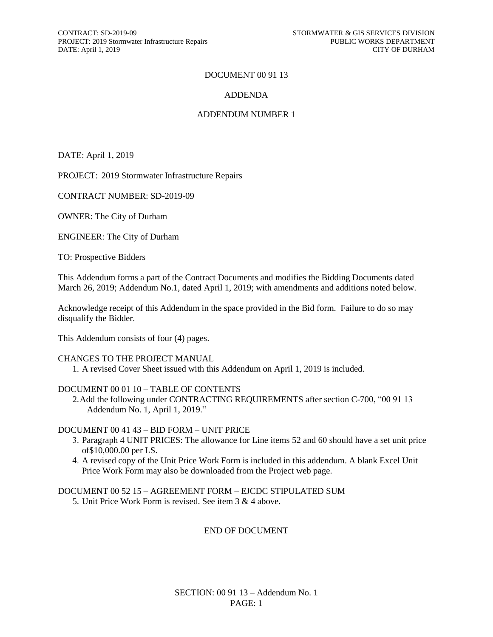## DOCUMENT 00 91 13

## ADDENDA

## ADDENDUM NUMBER 1

DATE: April 1, 2019

PROJECT: 2019 Stormwater Infrastructure Repairs

CONTRACT NUMBER: SD-2019-09

OWNER: The City of Durham

ENGINEER: The City of Durham

TO: Prospective Bidders

This Addendum forms a part of the Contract Documents and modifies the Bidding Documents dated March 26, 2019; Addendum No.1, dated April 1, 2019; with amendments and additions noted below.

Acknowledge receipt of this Addendum in the space provided in the Bid form. Failure to do so may disqualify the Bidder.

This Addendum consists of four (4) pages.

#### CHANGES TO THE PROJECT MANUAL

1. A revised Cover Sheet issued with this Addendum on April 1, 2019 is included.

#### DOCUMENT 00 01 10 – TABLE OF CONTENTS

2.Add the following under CONTRACTING REQUIREMENTS after section C-700, "00 91 13 Addendum No. 1, April 1, 2019."

### DOCUMENT 00 41 43 – BID FORM – UNIT PRICE

- 3. Paragraph 4 UNIT PRICES: The allowance for Line items 52 and 60 should have a set unit price of\$10,000.00 per LS.
- 4. A revised copy of the Unit Price Work Form is included in this addendum. A blank Excel Unit Price Work Form may also be downloaded from the Project web page.

## DOCUMENT 00 52 15 – AGREEMENT FORM – EJCDC STIPULATED SUM

5. Unit Price Work Form is revised. See item 3 & 4 above.

## END OF DOCUMENT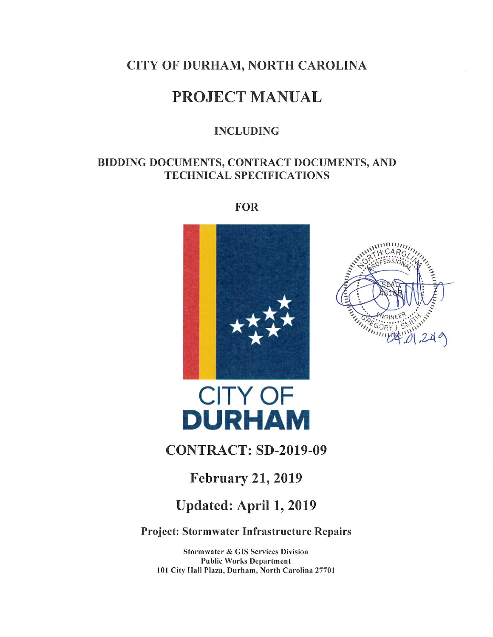## CITY OF DURHAM, NORTH CAROLINA

# **PROJECT MANUAL**

## **INCLUDING**

## BIDDING DOCUMENTS, CONTRACT DOCUMENTS, AND **TECHNICAL SPECIFICATIONS**

**FOR** 





# **CITY OF DURHAM**

# **CONTRACT: SD-2019-09**

## **February 21, 2019**

# Updated: April 1, 2019

Project: Stormwater Infrastructure Repairs

**Stormwater & GIS Services Division Public Works Department** 101 City Hall Plaza, Durham, North Carolina 27701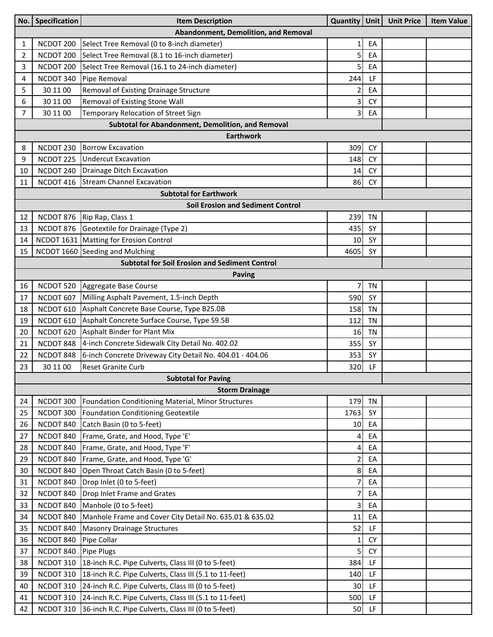| No.                                               | Specification | <b>Item Description</b>                                       | Quantity   Unit |           | <b>Unit Price</b> | <b>Item Value</b> |  |  |  |  |  |
|---------------------------------------------------|---------------|---------------------------------------------------------------|-----------------|-----------|-------------------|-------------------|--|--|--|--|--|
| Abandonment, Demolition, and Removal              |               |                                                               |                 |           |                   |                   |  |  |  |  |  |
| 1                                                 | NCDOT 200     | Select Tree Removal (0 to 8-inch diameter)                    | $\mathbf{1}$    | EA        |                   |                   |  |  |  |  |  |
| $\overline{2}$                                    | NCDOT 200     | Select Tree Removal (8.1 to 16-inch diameter)                 | 5               | EA        |                   |                   |  |  |  |  |  |
| 3                                                 | NCDOT 200     | Select Tree Removal (16.1 to 24-inch diameter)                | 5               | EA        |                   |                   |  |  |  |  |  |
| 4                                                 | NCDOT 340     | Pipe Removal                                                  | 244             | LF        |                   |                   |  |  |  |  |  |
| 5                                                 | 30 11 00      | Removal of Existing Drainage Structure                        | 2               | EA        |                   |                   |  |  |  |  |  |
| 6                                                 | 30 11 00      | Removal of Existing Stone Wall                                | 3               | <b>CY</b> |                   |                   |  |  |  |  |  |
| 7                                                 | 30 11 00      | Temporary Relocation of Street Sign                           | 3               | EA        |                   |                   |  |  |  |  |  |
| Subtotal for Abandonment, Demolition, and Removal |               |                                                               |                 |           |                   |                   |  |  |  |  |  |
| <b>Earthwork</b>                                  |               |                                                               |                 |           |                   |                   |  |  |  |  |  |
| 8                                                 | NCDOT 230     | <b>Borrow Excavation</b>                                      | 309             | <b>CY</b> |                   |                   |  |  |  |  |  |
| 9                                                 | NCDOT 225     | <b>Undercut Excavation</b>                                    | 148             | <b>CY</b> |                   |                   |  |  |  |  |  |
| 10                                                | NCDOT 240     | Drainage Ditch Excavation                                     | 14              | <b>CY</b> |                   |                   |  |  |  |  |  |
| 11                                                | NCDOT 416     | <b>Stream Channel Excavation</b>                              | 86              | <b>CY</b> |                   |                   |  |  |  |  |  |
|                                                   |               | <b>Subtotal for Earthwork</b>                                 |                 |           |                   |                   |  |  |  |  |  |
|                                                   |               | <b>Soil Erosion and Sediment Control</b>                      |                 |           |                   |                   |  |  |  |  |  |
| 12                                                | NCDOT 876     | Rip Rap, Class 1                                              | 239             | <b>TN</b> |                   |                   |  |  |  |  |  |
| 13                                                | NCDOT 876     | Geotextile for Drainage (Type 2)                              | 435             | SY        |                   |                   |  |  |  |  |  |
| 14                                                |               | NCDOT 1631 Matting for Erosion Control                        | 10              | SY        |                   |                   |  |  |  |  |  |
| 15                                                |               | NCDOT 1660 Seeding and Mulching                               | 4605            | <b>SY</b> |                   |                   |  |  |  |  |  |
|                                                   |               | <b>Subtotal for Soil Erosion and Sediment Control</b>         |                 |           |                   |                   |  |  |  |  |  |
|                                                   |               | <b>Paving</b>                                                 |                 |           |                   |                   |  |  |  |  |  |
| 16                                                | NCDOT 520     | Aggregate Base Course                                         | 7               | <b>TN</b> |                   |                   |  |  |  |  |  |
| 17                                                | NCDOT 607     | Milling Asphalt Pavement, 1.5-inch Depth                      | 590             | SY        |                   |                   |  |  |  |  |  |
| 18                                                | NCDOT 610     | Asphalt Concrete Base Course, Type B25.0B                     | 158             | <b>TN</b> |                   |                   |  |  |  |  |  |
| 19                                                | NCDOT 610     | Asphalt Concrete Surface Course, Type S9.5B                   | 112             | <b>TN</b> |                   |                   |  |  |  |  |  |
| 20                                                | NCDOT 620     | Asphalt Binder for Plant Mix                                  | 16              | <b>TN</b> |                   |                   |  |  |  |  |  |
| 21                                                | NCDOT 848     | 4-inch Concrete Sidewalk City Detail No. 402.02               | 355             | SY        |                   |                   |  |  |  |  |  |
| 22                                                | NCDOT 848     | 6-inch Concrete Driveway City Detail No. 404.01 - 404.06      | 353             | SY        |                   |                   |  |  |  |  |  |
| 23                                                | 30 11 00      | <b>Reset Granite Curb</b>                                     | 320             | LF        |                   |                   |  |  |  |  |  |
| <b>Subtotal for Paving</b>                        |               |                                                               |                 |           |                   |                   |  |  |  |  |  |
|                                                   |               | <b>Storm Drainage</b>                                         |                 |           |                   |                   |  |  |  |  |  |
| 24                                                | NCDOT 300     | Foundation Conditioning Material, Minor Structures            | 179             | <b>TN</b> |                   |                   |  |  |  |  |  |
| 25                                                | NCDOT 300     | Foundation Conditioning Geotextile                            | 1763            | SY        |                   |                   |  |  |  |  |  |
| 26                                                | NCDOT 840     | Catch Basin (0 to 5-feet)                                     | 10              | EA        |                   |                   |  |  |  |  |  |
| 27                                                | NCDOT 840     | Frame, Grate, and Hood, Type 'E'                              | 4               | EA        |                   |                   |  |  |  |  |  |
| 28                                                | NCDOT 840     | Frame, Grate, and Hood, Type 'F'                              | $\overline{4}$  | EA        |                   |                   |  |  |  |  |  |
| 29                                                | NCDOT 840     | Frame, Grate, and Hood, Type 'G'                              | $\overline{2}$  | EA        |                   |                   |  |  |  |  |  |
| 30                                                | NCDOT 840     | Open Throat Catch Basin (0 to 5-feet)                         | 8 <sup>1</sup>  | EA        |                   |                   |  |  |  |  |  |
| 31                                                | NCDOT 840     | Drop Inlet (0 to 5-feet)                                      | $\overline{7}$  | EA        |                   |                   |  |  |  |  |  |
| 32                                                | NCDOT 840     | Drop Inlet Frame and Grates                                   | 7               | EA        |                   |                   |  |  |  |  |  |
| 33                                                | NCDOT 840     | Manhole (0 to 5-feet)                                         | 3               | EA        |                   |                   |  |  |  |  |  |
| 34                                                | NCDOT 840     | Manhole Frame and Cover City Detail No. 635.01 & 635.02       | 11              | EA        |                   |                   |  |  |  |  |  |
| 35                                                | NCDOT 840     | <b>Masonry Drainage Structures</b>                            | 52              | LF        |                   |                   |  |  |  |  |  |
| 36                                                | NCDOT 840     | Pipe Collar                                                   | 1               | <b>CY</b> |                   |                   |  |  |  |  |  |
| 37                                                | NCDOT 840     | <b>Pipe Plugs</b>                                             | 5               | <b>CY</b> |                   |                   |  |  |  |  |  |
| 38                                                | NCDOT 310     | 18-inch R.C. Pipe Culverts, Class III (0 to 5-feet)           | 384             | LF        |                   |                   |  |  |  |  |  |
| 39                                                | NCDOT 310     | 18-inch R.C. Pipe Culverts, Class III (5.1 to 11-feet)        | 140             | LF        |                   |                   |  |  |  |  |  |
| 40                                                | NCDOT 310     | 24-inch R.C. Pipe Culverts, Class III (0 to 5-feet)           | 30              | LF        |                   |                   |  |  |  |  |  |
| 41                                                | NCDOT 310     | 24-inch R.C. Pipe Culverts, Class III (5.1 to 11-feet)        | 500             | LF        |                   |                   |  |  |  |  |  |
| 42                                                |               | NCDOT 310 36-inch R.C. Pipe Culverts, Class III (0 to 5-feet) | 50              | LF        |                   |                   |  |  |  |  |  |